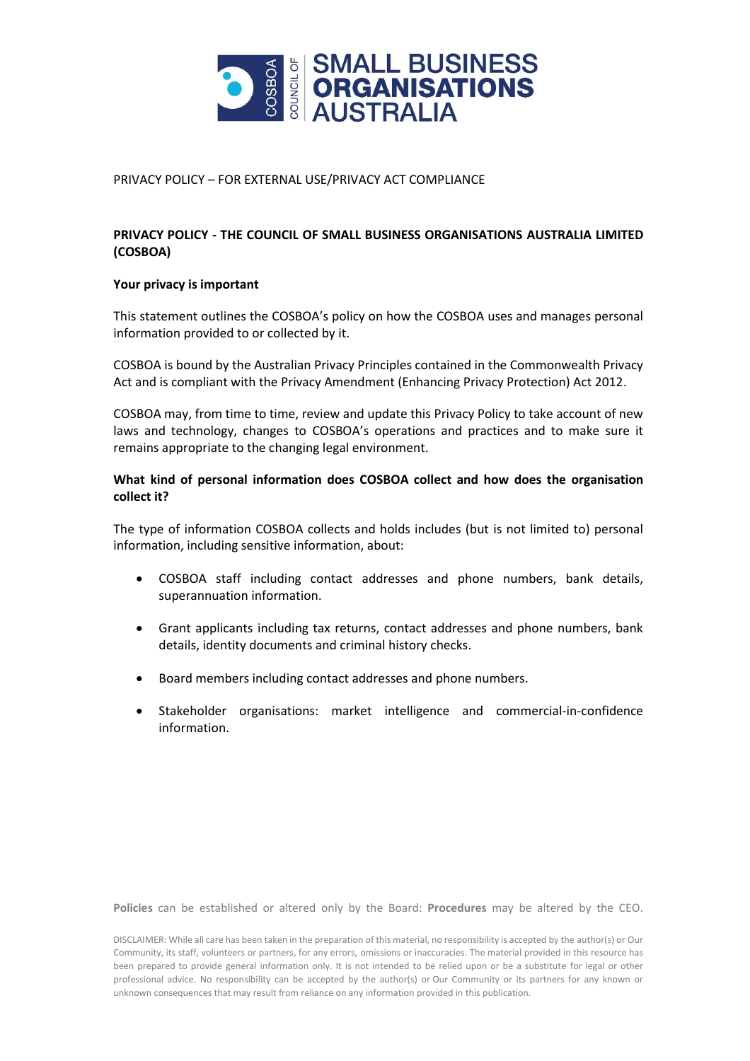

### PRIVACY POLICY – FOR EXTERNAL USE/PRIVACY ACT COMPLIANCE

# **PRIVACY POLICY - THE COUNCIL OF SMALL BUSINESS ORGANISATIONS AUSTRALIA LIMITED (COSBOA)**

#### **Your privacy is important**

This statement outlines the COSBOA's policy on how the COSBOA uses and manages personal information provided to or collected by it.

COSBOA is bound by the Australian Privacy Principles contained in the Commonwealth Privacy Act and is compliant with the Privacy Amendment (Enhancing Privacy Protection) Act 2012.

COSBOA may, from time to time, review and update this Privacy Policy to take account of new laws and technology, changes to COSBOA's operations and practices and to make sure it remains appropriate to the changing legal environment.

## **What kind of personal information does COSBOA collect and how does the organisation collect it?**

The type of information COSBOA collects and holds includes (but is not limited to) personal information, including sensitive information, about:

- COSBOA staff including contact addresses and phone numbers, bank details, superannuation information.
- Grant applicants including tax returns, contact addresses and phone numbers, bank details, identity documents and criminal history checks.
- Board members including contact addresses and phone numbers.
- Stakeholder organisations: market intelligence and commercial-in-confidence information.

**Policies** can be established or altered only by the Board: **Procedures** may be altered by the CEO.

DISCLAIMER: While all care has been taken in the preparation of this material, no responsibility is accepted by the author(s) or Our Community, its staff, volunteers or partners, for any errors, omissions or inaccuracies. The material provided in this resource has been prepared to provide general information only. It is not intended to be relied upon or be a substitute for legal or other professional advice. No responsibility can be accepted by the author(s) or Our Community or its partners for any known or unknown consequences that may result from reliance on any information provided in this publication.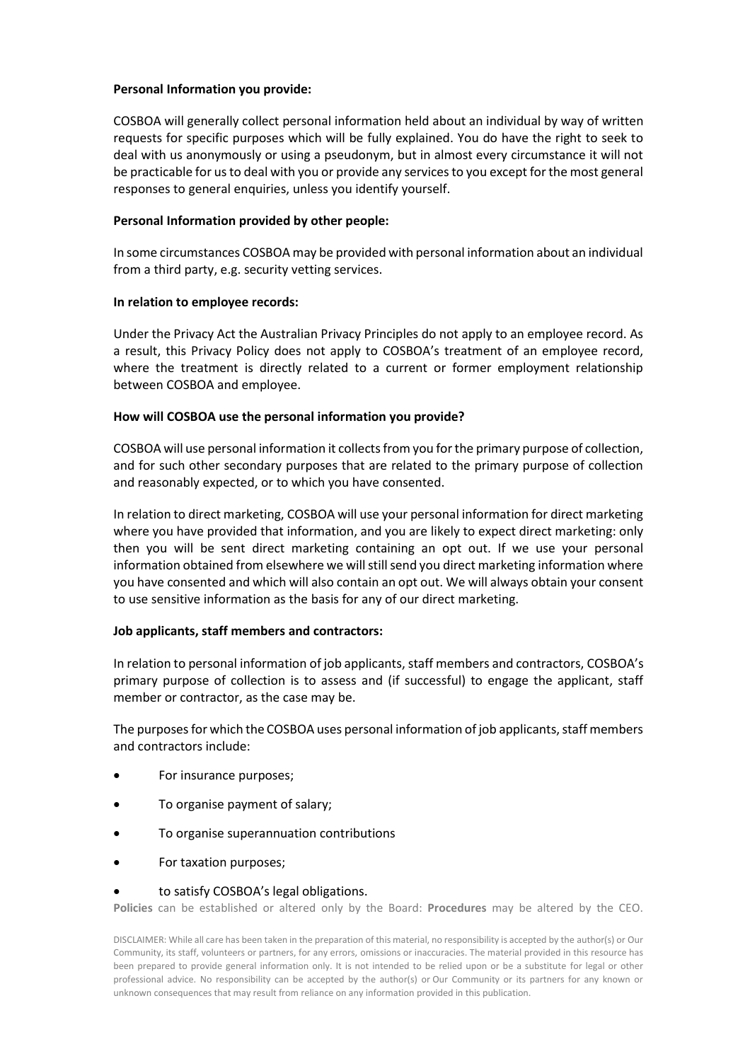## **Personal Information you provide:**

COSBOA will generally collect personal information held about an individual by way of written requests for specific purposes which will be fully explained. You do have the right to seek to deal with us anonymously or using a pseudonym, but in almost every circumstance it will not be practicable for us to deal with you or provide any services to you except for the most general responses to general enquiries, unless you identify yourself.

## **Personal Information provided by other people:**

In some circumstances COSBOA may be provided with personal information about an individual from a third party, e.g. security vetting services.

## **In relation to employee records:**

Under the Privacy Act the Australian Privacy Principles do not apply to an employee record. As a result, this Privacy Policy does not apply to COSBOA's treatment of an employee record, where the treatment is directly related to a current or former employment relationship between COSBOA and employee.

## **How will COSBOA use the personal information you provide?**

COSBOA will use personal information it collects from you for the primary purpose of collection, and for such other secondary purposes that are related to the primary purpose of collection and reasonably expected, or to which you have consented.

In relation to direct marketing, COSBOA will use your personal information for direct marketing where you have provided that information, and you are likely to expect direct marketing: only then you will be sent direct marketing containing an opt out. If we use your personal information obtained from elsewhere we will still send you direct marketing information where you have consented and which will also contain an opt out. We will always obtain your consent to use sensitive information as the basis for any of our direct marketing.

# **Job applicants, staff members and contractors:**

In relation to personal information of job applicants, staff members and contractors, COSBOA's primary purpose of collection is to assess and (if successful) to engage the applicant, staff member or contractor, as the case may be.

The purposes for which the COSBOA uses personal information of job applicants, staff members and contractors include:

- For insurance purposes;
- To organise payment of salary;
- To organise superannuation contributions
- For taxation purposes;
- to satisfy COSBOA's legal obligations.

**Policies** can be established or altered only by the Board: **Procedures** may be altered by the CEO.

DISCLAIMER: While all care has been taken in the preparation of this material, no responsibility is accepted by the author(s) or Our Community, its staff, volunteers or partners, for any errors, omissions or inaccuracies. The material provided in this resource has been prepared to provide general information only. It is not intended to be relied upon or be a substitute for legal or other professional advice. No responsibility can be accepted by the author(s) or Our Community or its partners for any known or unknown consequences that may result from reliance on any information provided in this publication.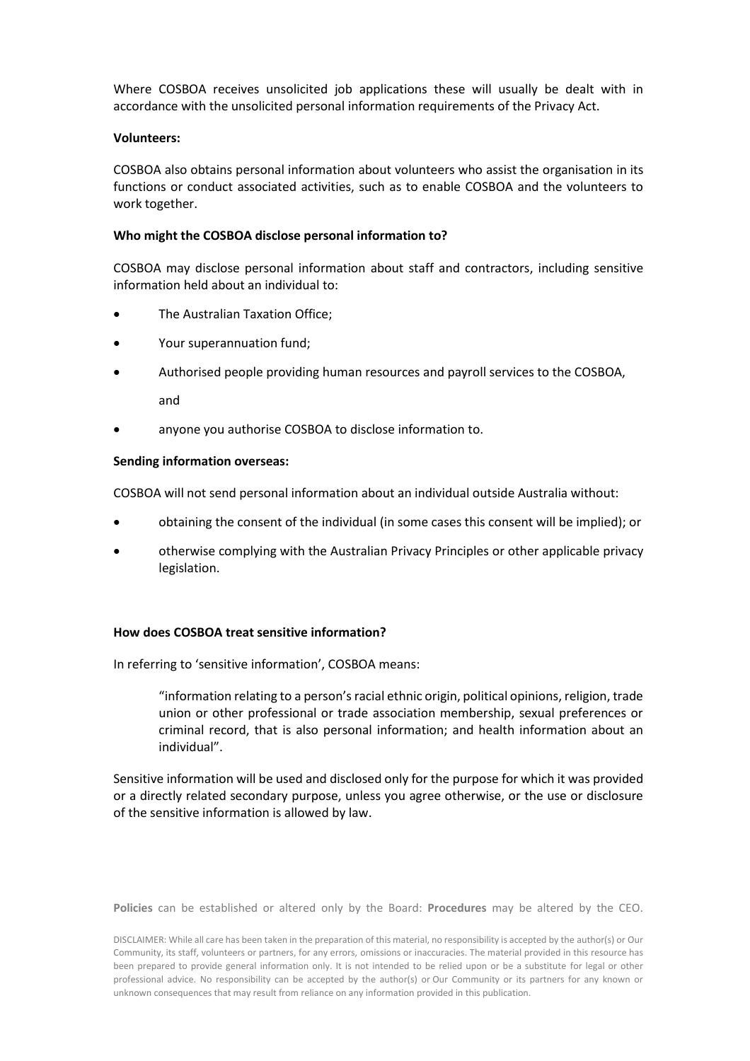Where COSBOA receives unsolicited job applications these will usually be dealt with in accordance with the unsolicited personal information requirements of the Privacy Act.

#### **Volunteers:**

COSBOA also obtains personal information about volunteers who assist the organisation in its functions or conduct associated activities, such as to enable COSBOA and the volunteers to work together.

### **Who might the COSBOA disclose personal information to?**

COSBOA may disclose personal information about staff and contractors, including sensitive information held about an individual to:

- The Australian Taxation Office;
- Your superannuation fund;
- Authorised people providing human resources and payroll services to the COSBOA, and
- anyone you authorise COSBOA to disclose information to.

#### **Sending information overseas:**

COSBOA will not send personal information about an individual outside Australia without:

- obtaining the consent of the individual (in some cases this consent will be implied); or
- otherwise complying with the Australian Privacy Principles or other applicable privacy legislation.

## **How does COSBOA treat sensitive information?**

In referring to 'sensitive information', COSBOA means:

"information relating to a person's racial ethnic origin, political opinions, religion, trade union or other professional or trade association membership, sexual preferences or criminal record, that is also personal information; and health information about an individual".

Sensitive information will be used and disclosed only for the purpose for which it was provided or a directly related secondary purpose, unless you agree otherwise, or the use or disclosure of the sensitive information is allowed by law.

**Policies** can be established or altered only by the Board: **Procedures** may be altered by the CEO.

DISCLAIMER: While all care has been taken in the preparation of this material, no responsibility is accepted by the author(s) or Our Community, its staff, volunteers or partners, for any errors, omissions or inaccuracies. The material provided in this resource has been prepared to provide general information only. It is not intended to be relied upon or be a substitute for legal or other professional advice. No responsibility can be accepted by the author(s) or Our Community or its partners for any known or unknown consequences that may result from reliance on any information provided in this publication.